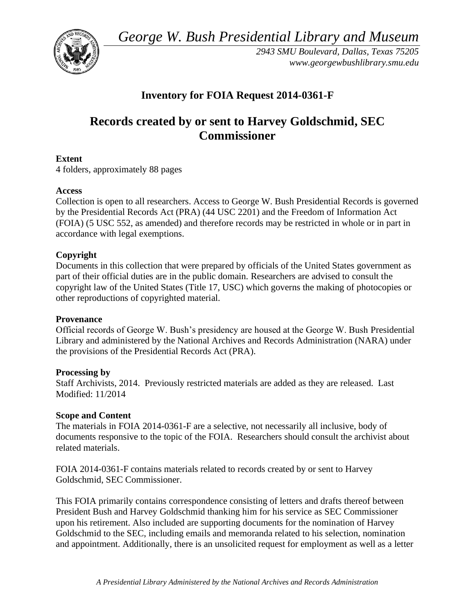*George W. Bush Presidential Library and Museum* 



*2943 SMU Boulevard, Dallas, Texas 75205 <www.georgewbushlibrary.smu.edu>* 

# **Inventory for FOIA Request 2014-0361-F**

# **Records created by or sent to Harvey Goldschmid, SEC Commissioner**

## **Extent**

4 folders, approximately 88 pages

## **Access**

Collection is open to all researchers. Access to George W. Bush Presidential Records is governed by the Presidential Records Act (PRA) (44 USC 2201) and the Freedom of Information Act (FOIA) (5 USC 552, as amended) and therefore records may be restricted in whole or in part in accordance with legal exemptions.

## **Copyright**

 Documents in this collection that were prepared by officials of the United States government as part of their official duties are in the public domain. Researchers are advised to consult the copyright law of the United States (Title 17, USC) which governs the making of photocopies or other reproductions of copyrighted material.

#### **Provenance**

Official records of George W. Bush's presidency are housed at the George W. Bush Presidential Library and administered by the National Archives and Records Administration (NARA) under the provisions of the Presidential Records Act (PRA).

#### **Processing by**

 Staff Archivists, 2014. Previously restricted materials are added as they are released. Last Modified: 11/2014

#### **Scope and Content**

 documents responsive to the topic of the FOIA. Researchers should consult the archivist about The materials in FOIA 2014-0361-F are a selective, not necessarily all inclusive, body of related materials.

FOIA 2014-0361-F contains materials related to records created by or sent to Harvey Goldschmid, SEC Commissioner.

This FOIA primarily contains correspondence consisting of letters and drafts thereof between President Bush and Harvey Goldschmid thanking him for his service as SEC Commissioner upon his retirement. Also included are supporting documents for the nomination of Harvey Goldschmid to the SEC, including emails and memoranda related to his selection, nomination and appointment. Additionally, there is an unsolicited request for employment as well as a letter